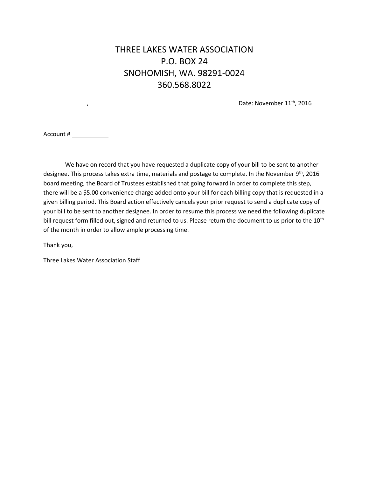## THREE LAKES WATER ASSOCIATION P.O. BOX 24 SNOHOMISH, WA. 98291-0024 360.568.8022

,  $\blacksquare$  Date: November  $11^{\text{th}}$ , 2016

Account #

We have on record that you have requested a duplicate copy of your bill to be sent to another designee. This process takes extra time, materials and postage to complete. In the November 9<sup>th</sup>, 2016 board meeting, the Board of Trustees established that going forward in order to complete this step, there will be a \$5.00 convenience charge added onto your bill for each billing copy that is requested in a given billing period. This Board action effectively cancels your prior request to send a duplicate copy of your bill to be sent to another designee. In order to resume this process we need the following duplicate bill request form filled out, signed and returned to us. Please return the document to us prior to the 10<sup>th</sup> of the month in order to allow ample processing time.

Thank you,

Three Lakes Water Association Staff